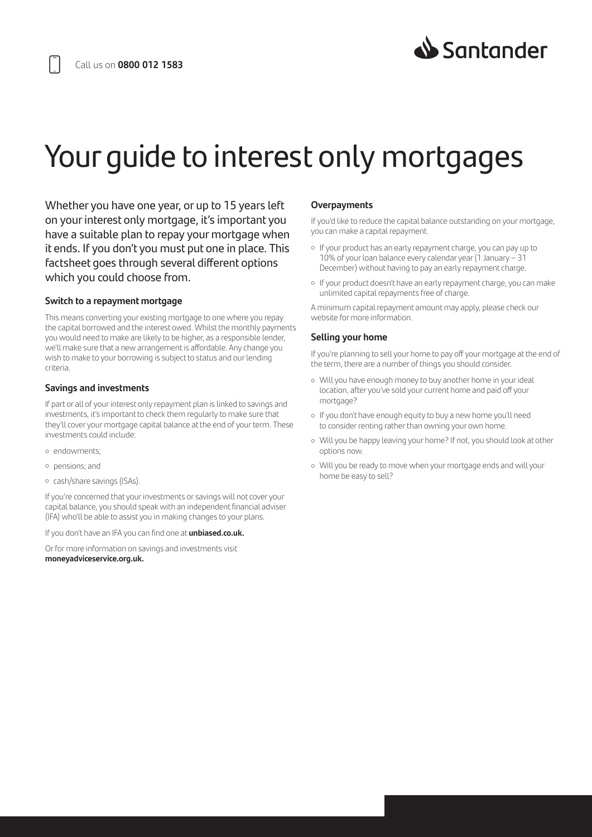

# Your guide to interest only mortgages

Whether you have one year, or up to 15 years left on your interest only mortgage, it's important you have a suitable plan to repay your mortgage when it ends. If you don't you must put one in place. This factsheet goes through several different options which you could choose from.

#### **Switch to a repayment mortgage**

This means converting your existing mortgage to one where you repay the capital borrowed and the interest owed. Whilst the monthly payments you would need to make are likely to be higher, as a responsible lender, we'll make sure that a new arrangement is affordable. Any change you wish to make to your borrowing is subject to status and our lending criteria.

## **Savings and investments**

If part or all of your interest only repayment plan is linked to savings and investments, it's important to check them regularly to make sure that they'll cover your mortgage capital balance at the end of your term. These investments could include:

- endowments;
- pensions; and
- cash/share savings (ISAs).

If you're concerned that your investments or savings will not cover your capital balance, you should speak with an independent financial adviser (IFA) who'll be able to assist you in making changes to your plans.

If you don't have an IFA you can find one at **unbiased.co.uk.**

Or for more information on savings and investments visit **moneyadviceservice.org.uk.**

## **Overpayments**

If you'd like to reduce the capital balance outstanding on your mortgage, you can make a capital repayment.

- If your product has an early repayment charge, you can pay up to 10% of your loan balance every calendar year (1 January – 31 December) without having to pay an early repayment charge.
- If your product doesn't have an early repayment charge, you can make unlimited capital repayments free of charge.

A minimum capital repayment amount may apply, please check our website for more information.

# **Selling your home**

If you're planning to sell your home to pay off your mortgage at the end of the term, there are a number of things you should consider.

- Will you have enough money to buy another home in your ideal location, after you've sold your current home and paid off your mortgage?
- If you don't have enough equity to buy a new home you'll need to consider renting rather than owning your own home.
- Will you be happy leaving your home? If not, you should look at other options now.
- Will you be ready to move when your mortgage ends and will your home be easy to sell?